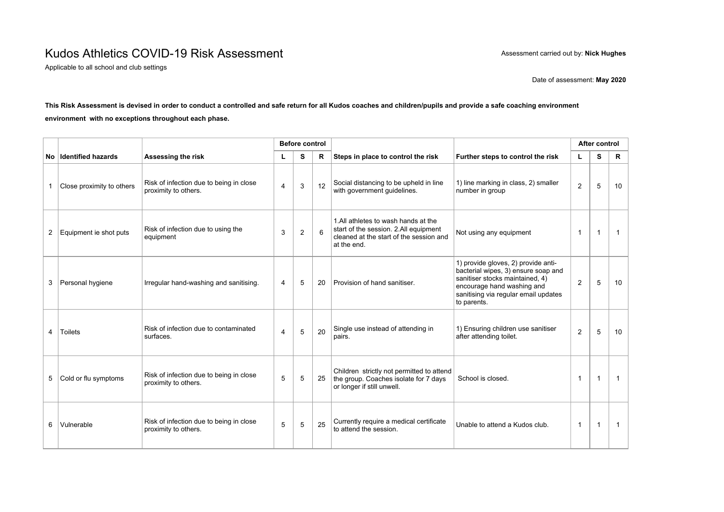## Kudos Athletics COVID-19 Risk Assessment **Assessment Assessment carried out by: Nick Hughes**

Applicable to all school and club settings

Date of assessment: **May 2020**

## **This Risk Assessment is devised in order to conduct a controlled and safe return for all Kudos coaches and children/pupils and provide a safe coaching environment environment with no exceptions throughout each phase.**

|                |                           |                                                                 | <b>Before control</b> |   |    |                                                                                                                                        |                                                                                                                                                                                                    | After control |                |              |
|----------------|---------------------------|-----------------------------------------------------------------|-----------------------|---|----|----------------------------------------------------------------------------------------------------------------------------------------|----------------------------------------------------------------------------------------------------------------------------------------------------------------------------------------------------|---------------|----------------|--------------|
|                | No Identified hazards     | Assessing the risk                                              |                       | S | R  | Steps in place to control the risk                                                                                                     | Further steps to control the risk                                                                                                                                                                  | L             | S              | $\mathsf{R}$ |
| $\mathbf{1}$   | Close proximity to others | Risk of infection due to being in close<br>proximity to others. | $\overline{4}$        | 3 | 12 | Social distancing to be upheld in line<br>with government guidelines.                                                                  | 1) line marking in class, 2) smaller<br>number in group                                                                                                                                            | 2             | 5              | 10           |
| $\overline{2}$ | Equipment ie shot puts    | Risk of infection due to using the<br>equipment                 | 3                     | 2 | 6  | 1.All athletes to wash hands at the<br>start of the session. 2.All equipment<br>cleaned at the start of the session and<br>at the end. | Not using any equipment                                                                                                                                                                            | $\mathbf{1}$  | $\overline{1}$ | $\mathbf{1}$ |
| 3              | Personal hygiene          | Irregular hand-washing and sanitising.                          | $\overline{4}$        | 5 | 20 | Provision of hand sanitiser.                                                                                                           | 1) provide gloves, 2) provide anti-<br>bacterial wipes, 3) ensure soap and<br>sanitiser stocks maintained, 4)<br>encourage hand washing and<br>sanitising via regular email updates<br>to parents. | 2             | 5              | 10           |
| 4              | <b>Toilets</b>            | Risk of infection due to contaminated<br>surfaces.              | $\overline{4}$        | 5 | 20 | Single use instead of attending in<br>pairs.                                                                                           | 1) Ensuring children use sanitiser<br>after attending toilet.                                                                                                                                      | 2             | 5              | 10           |
| 5              | Cold or flu symptoms      | Risk of infection due to being in close<br>proximity to others. | 5                     | 5 | 25 | Children strictly not permitted to attend<br>the group. Coaches isolate for 7 days<br>or longer if still unwell.                       | School is closed.                                                                                                                                                                                  | $\mathbf 1$   | $\overline{1}$ | -1           |
| 6              | Vulnerable                | Risk of infection due to being in close<br>proximity to others. | 5                     | 5 | 25 | Currently require a medical certificate<br>to attend the session.                                                                      | Unable to attend a Kudos club.                                                                                                                                                                     | $\mathbf{1}$  | $\overline{1}$ | -1           |